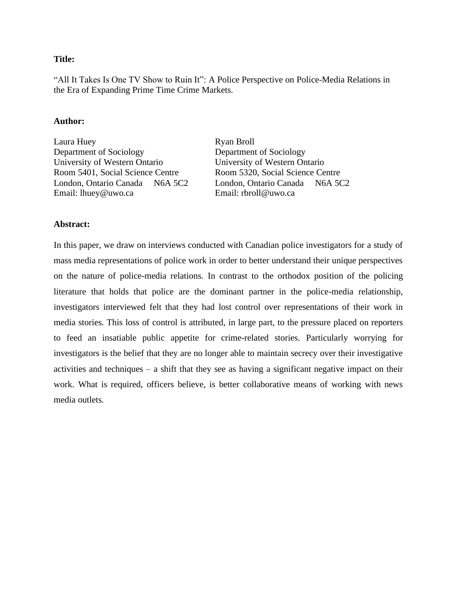## **Title:**

"All It Takes Is One TV Show to Ruin It": A Police Perspective on Police-Media Relations in the Era of Expanding Prime Time Crime Markets.

# **Author:**

Laura Huey Ryan Broll Department of Sociology Department of Sociology University of Western Ontario University of Western Ontario Room 5401, Social Science Centre Room 5320, Social Science Centre Email: lhuey@uwo.ca Email: rbroll@uwo.ca

London, Ontario Canada N6A 5C2 London, Ontario Canada N6A 5C2

## **Abstract:**

In this paper, we draw on interviews conducted with Canadian police investigators for a study of mass media representations of police work in order to better understand their unique perspectives on the nature of police-media relations. In contrast to the orthodox position of the policing literature that holds that police are the dominant partner in the police-media relationship, investigators interviewed felt that they had lost control over representations of their work in media stories. This loss of control is attributed, in large part, to the pressure placed on reporters to feed an insatiable public appetite for crime-related stories. Particularly worrying for investigators is the belief that they are no longer able to maintain secrecy over their investigative activities and techniques – a shift that they see as having a significant negative impact on their work. What is required, officers believe, is better collaborative means of working with news media outlets.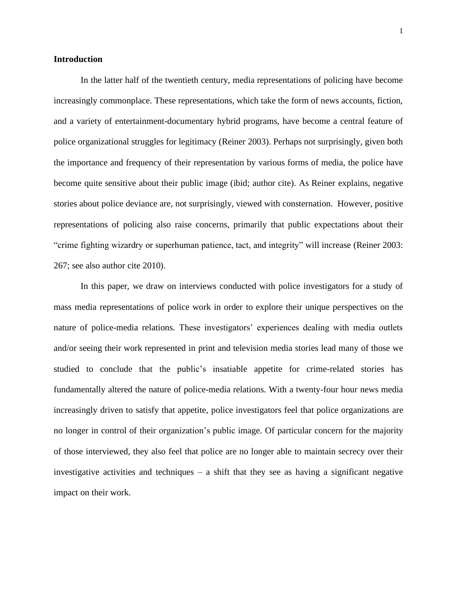## **Introduction**

In the latter half of the twentieth century, media representations of policing have become increasingly commonplace. These representations, which take the form of news accounts, fiction, and a variety of entertainment-documentary hybrid programs, have become a central feature of police organizational struggles for legitimacy (Reiner 2003). Perhaps not surprisingly, given both the importance and frequency of their representation by various forms of media, the police have become quite sensitive about their public image (ibid; author cite). As Reiner explains, negative stories about police deviance are, not surprisingly, viewed with consternation. However, positive representations of policing also raise concerns, primarily that public expectations about their "crime fighting wizardry or superhuman patience, tact, and integrity" will increase (Reiner 2003: 267; see also author cite 2010).

In this paper, we draw on interviews conducted with police investigators for a study of mass media representations of police work in order to explore their unique perspectives on the nature of police-media relations. These investigators' experiences dealing with media outlets and/or seeing their work represented in print and television media stories lead many of those we studied to conclude that the public's insatiable appetite for crime-related stories has fundamentally altered the nature of police-media relations. With a twenty-four hour news media increasingly driven to satisfy that appetite, police investigators feel that police organizations are no longer in control of their organization's public image. Of particular concern for the majority of those interviewed, they also feel that police are no longer able to maintain secrecy over their investigative activities and techniques  $-$  a shift that they see as having a significant negative impact on their work.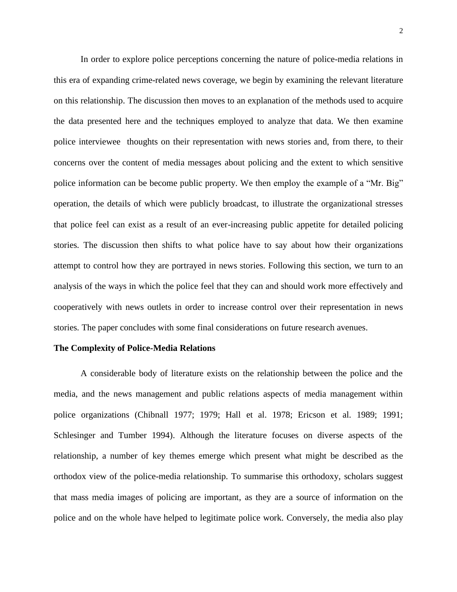In order to explore police perceptions concerning the nature of police-media relations in this era of expanding crime-related news coverage, we begin by examining the relevant literature on this relationship. The discussion then moves to an explanation of the methods used to acquire the data presented here and the techniques employed to analyze that data. We then examine police interviewee thoughts on their representation with news stories and, from there, to their concerns over the content of media messages about policing and the extent to which sensitive police information can be become public property. We then employ the example of a "Mr. Big" operation, the details of which were publicly broadcast, to illustrate the organizational stresses that police feel can exist as a result of an ever-increasing public appetite for detailed policing stories. The discussion then shifts to what police have to say about how their organizations attempt to control how they are portrayed in news stories. Following this section, we turn to an analysis of the ways in which the police feel that they can and should work more effectively and cooperatively with news outlets in order to increase control over their representation in news stories. The paper concludes with some final considerations on future research avenues.

## **The Complexity of Police-Media Relations**

A considerable body of literature exists on the relationship between the police and the media, and the news management and public relations aspects of media management within police organizations (Chibnall 1977; 1979; Hall et al. 1978; Ericson et al. 1989; 1991; Schlesinger and Tumber 1994). Although the literature focuses on diverse aspects of the relationship, a number of key themes emerge which present what might be described as the orthodox view of the police-media relationship. To summarise this orthodoxy, scholars suggest that mass media images of policing are important, as they are a source of information on the police and on the whole have helped to legitimate police work. Conversely, the media also play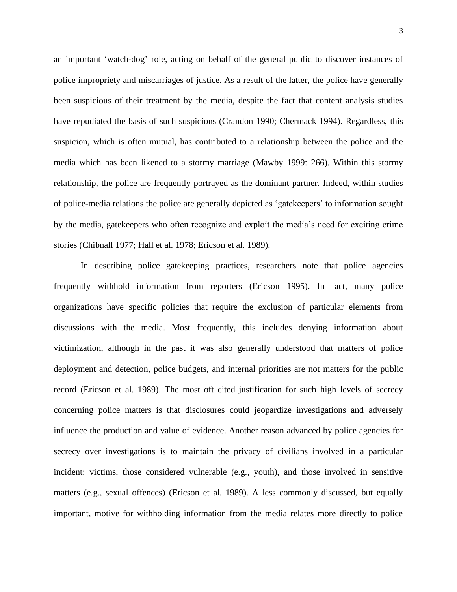an important 'watch-dog' role, acting on behalf of the general public to discover instances of police impropriety and miscarriages of justice. As a result of the latter, the police have generally been suspicious of their treatment by the media, despite the fact that content analysis studies have repudiated the basis of such suspicions (Crandon 1990; Chermack 1994). Regardless, this suspicion, which is often mutual, has contributed to a relationship between the police and the media which has been likened to a stormy marriage (Mawby 1999: 266). Within this stormy relationship, the police are frequently portrayed as the dominant partner. Indeed, within studies of police-media relations the police are generally depicted as 'gatekeepers' to information sought by the media, gatekeepers who often recognize and exploit the media's need for exciting crime stories (Chibnall 1977; Hall et al. 1978; Ericson et al. 1989).

In describing police gatekeeping practices, researchers note that police agencies frequently withhold information from reporters (Ericson 1995). In fact, many police organizations have specific policies that require the exclusion of particular elements from discussions with the media. Most frequently, this includes denying information about victimization, although in the past it was also generally understood that matters of police deployment and detection, police budgets, and internal priorities are not matters for the public record (Ericson et al. 1989). The most oft cited justification for such high levels of secrecy concerning police matters is that disclosures could jeopardize investigations and adversely influence the production and value of evidence. Another reason advanced by police agencies for secrecy over investigations is to maintain the privacy of civilians involved in a particular incident: victims, those considered vulnerable (e.g., youth), and those involved in sensitive matters (e.g., sexual offences) (Ericson et al. 1989). A less commonly discussed, but equally important, motive for withholding information from the media relates more directly to police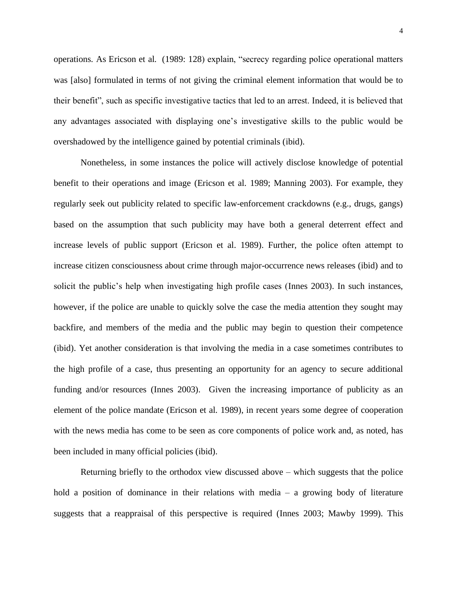operations. As Ericson et al. (1989: 128) explain, "secrecy regarding police operational matters was [also] formulated in terms of not giving the criminal element information that would be to their benefit", such as specific investigative tactics that led to an arrest. Indeed, it is believed that any advantages associated with displaying one's investigative skills to the public would be overshadowed by the intelligence gained by potential criminals (ibid).

Nonetheless, in some instances the police will actively disclose knowledge of potential benefit to their operations and image (Ericson et al. 1989; Manning 2003). For example, they regularly seek out publicity related to specific law-enforcement crackdowns (e.g., drugs, gangs) based on the assumption that such publicity may have both a general deterrent effect and increase levels of public support (Ericson et al. 1989). Further, the police often attempt to increase citizen consciousness about crime through major-occurrence news releases (ibid) and to solicit the public's help when investigating high profile cases (Innes 2003). In such instances, however, if the police are unable to quickly solve the case the media attention they sought may backfire, and members of the media and the public may begin to question their competence (ibid). Yet another consideration is that involving the media in a case sometimes contributes to the high profile of a case, thus presenting an opportunity for an agency to secure additional funding and/or resources (Innes 2003). Given the increasing importance of publicity as an element of the police mandate (Ericson et al. 1989), in recent years some degree of cooperation with the news media has come to be seen as core components of police work and, as noted, has been included in many official policies (ibid).

Returning briefly to the orthodox view discussed above – which suggests that the police hold a position of dominance in their relations with media – a growing body of literature suggests that a reappraisal of this perspective is required (Innes 2003; Mawby 1999). This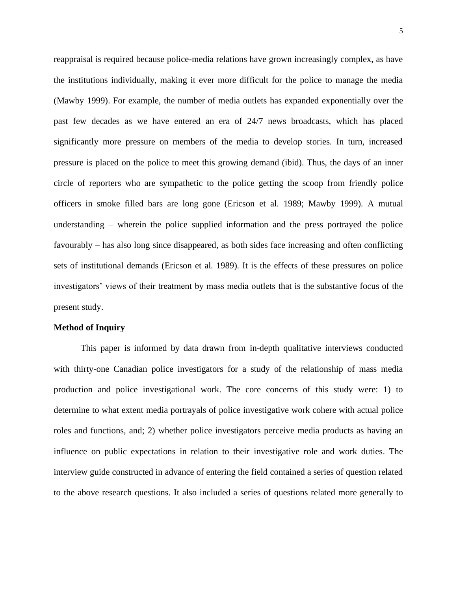reappraisal is required because police-media relations have grown increasingly complex, as have the institutions individually, making it ever more difficult for the police to manage the media (Mawby 1999). For example, the number of media outlets has expanded exponentially over the past few decades as we have entered an era of 24/7 news broadcasts, which has placed significantly more pressure on members of the media to develop stories. In turn, increased pressure is placed on the police to meet this growing demand (ibid). Thus, the days of an inner circle of reporters who are sympathetic to the police getting the scoop from friendly police officers in smoke filled bars are long gone (Ericson et al. 1989; Mawby 1999). A mutual understanding – wherein the police supplied information and the press portrayed the police favourably – has also long since disappeared, as both sides face increasing and often conflicting sets of institutional demands (Ericson et al. 1989). It is the effects of these pressures on police investigators' views of their treatment by mass media outlets that is the substantive focus of the present study.

### **Method of Inquiry**

This paper is informed by data drawn from in-depth qualitative interviews conducted with thirty-one Canadian police investigators for a study of the relationship of mass media production and police investigational work. The core concerns of this study were: 1) to determine to what extent media portrayals of police investigative work cohere with actual police roles and functions, and; 2) whether police investigators perceive media products as having an influence on public expectations in relation to their investigative role and work duties. The interview guide constructed in advance of entering the field contained a series of question related to the above research questions. It also included a series of questions related more generally to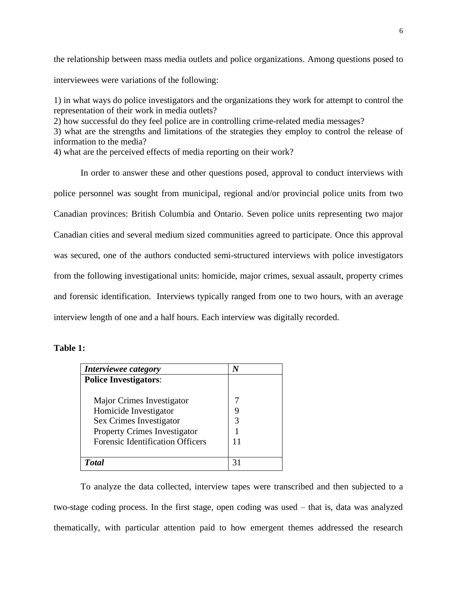the relationship between mass media outlets and police organizations. Among questions posed to interviewees were variations of the following:

1) in what ways do police investigators and the organizations they work for attempt to control the representation of their work in media outlets?

2) how successful do they feel police are in controlling crime-related media messages?

3) what are the strengths and limitations of the strategies they employ to control the release of information to the media?

4) what are the perceived effects of media reporting on their work?

In order to answer these and other questions posed, approval to conduct interviews with police personnel was sought from municipal, regional and/or provincial police units from two Canadian provinces: British Columbia and Ontario. Seven police units representing two major Canadian cities and several medium sized communities agreed to participate. Once this approval was secured, one of the authors conducted semi-structured interviews with police investigators from the following investigational units: homicide, major crimes, sexual assault, property crimes and forensic identification. Interviews typically ranged from one to two hours, with an average interview length of one and a half hours. Each interview was digitally recorded.

# **Table 1:**

| Interviewee category                    |    |
|-----------------------------------------|----|
| <b>Police Investigators:</b>            |    |
|                                         |    |
| Major Crimes Investigator               |    |
| Homicide Investigator                   | 9  |
| Sex Crimes Investigator                 | 3  |
| <b>Property Crimes Investigator</b>     |    |
| <b>Forensic Identification Officers</b> | 11 |
|                                         |    |
| Total                                   | 3  |

To analyze the data collected, interview tapes were transcribed and then subjected to a two-stage coding process. In the first stage, open coding was used – that is, data was analyzed thematically, with particular attention paid to how emergent themes addressed the research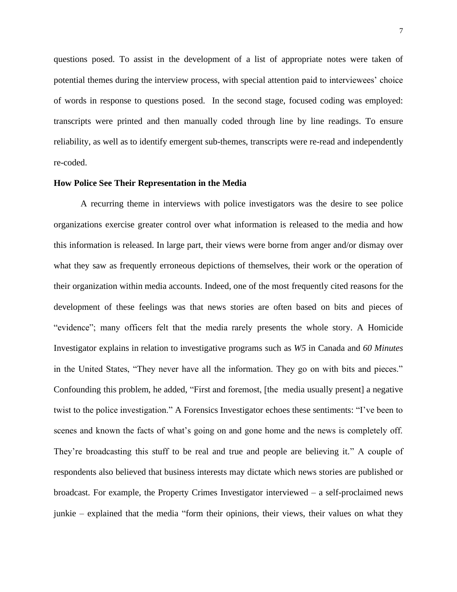questions posed. To assist in the development of a list of appropriate notes were taken of potential themes during the interview process, with special attention paid to interviewees' choice of words in response to questions posed. In the second stage, focused coding was employed: transcripts were printed and then manually coded through line by line readings. To ensure reliability, as well as to identify emergent sub-themes, transcripts were re-read and independently re-coded.

## **How Police See Their Representation in the Media**

A recurring theme in interviews with police investigators was the desire to see police organizations exercise greater control over what information is released to the media and how this information is released. In large part, their views were borne from anger and/or dismay over what they saw as frequently erroneous depictions of themselves, their work or the operation of their organization within media accounts. Indeed, one of the most frequently cited reasons for the development of these feelings was that news stories are often based on bits and pieces of "evidence"; many officers felt that the media rarely presents the whole story. A Homicide Investigator explains in relation to investigative programs such as *W5* in Canada and *60 Minutes* in the United States, "They never have all the information. They go on with bits and pieces." Confounding this problem, he added, "First and foremost, [the media usually present] a negative twist to the police investigation." A Forensics Investigator echoes these sentiments: "I've been to scenes and known the facts of what's going on and gone home and the news is completely off. They're broadcasting this stuff to be real and true and people are believing it." A couple of respondents also believed that business interests may dictate which news stories are published or broadcast. For example, the Property Crimes Investigator interviewed – a self-proclaimed news junkie – explained that the media "form their opinions, their views, their values on what they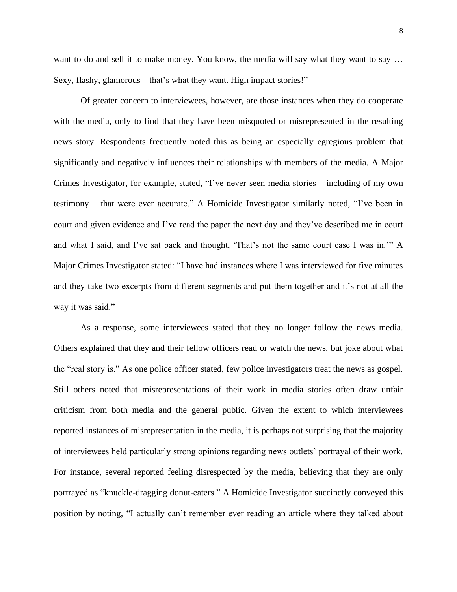8

want to do and sell it to make money. You know, the media will say what they want to say ... Sexy, flashy, glamorous – that's what they want. High impact stories!"

Of greater concern to interviewees, however, are those instances when they do cooperate with the media, only to find that they have been misquoted or misrepresented in the resulting news story. Respondents frequently noted this as being an especially egregious problem that significantly and negatively influences their relationships with members of the media. A Major Crimes Investigator, for example, stated, "I've never seen media stories – including of my own testimony – that were ever accurate." A Homicide Investigator similarly noted, "I've been in court and given evidence and I've read the paper the next day and they've described me in court and what I said, and I've sat back and thought, 'That's not the same court case I was in.'" A Major Crimes Investigator stated: "I have had instances where I was interviewed for five minutes and they take two excerpts from different segments and put them together and it's not at all the way it was said."

As a response, some interviewees stated that they no longer follow the news media. Others explained that they and their fellow officers read or watch the news, but joke about what the "real story is." As one police officer stated, few police investigators treat the news as gospel. Still others noted that misrepresentations of their work in media stories often draw unfair criticism from both media and the general public. Given the extent to which interviewees reported instances of misrepresentation in the media, it is perhaps not surprising that the majority of interviewees held particularly strong opinions regarding news outlets' portrayal of their work. For instance, several reported feeling disrespected by the media, believing that they are only portrayed as "knuckle-dragging donut-eaters." A Homicide Investigator succinctly conveyed this position by noting, "I actually can't remember ever reading an article where they talked about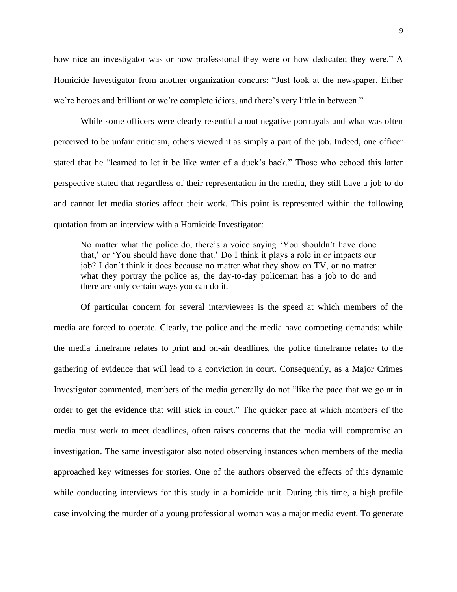how nice an investigator was or how professional they were or how dedicated they were." A Homicide Investigator from another organization concurs: "Just look at the newspaper. Either we're heroes and brilliant or we're complete idiots, and there's very little in between."

While some officers were clearly resentful about negative portrayals and what was often perceived to be unfair criticism, others viewed it as simply a part of the job. Indeed, one officer stated that he "learned to let it be like water of a duck's back." Those who echoed this latter perspective stated that regardless of their representation in the media, they still have a job to do and cannot let media stories affect their work. This point is represented within the following quotation from an interview with a Homicide Investigator:

No matter what the police do, there's a voice saying 'You shouldn't have done that,' or 'You should have done that.' Do I think it plays a role in or impacts our job? I don't think it does because no matter what they show on TV, or no matter what they portray the police as, the day-to-day policeman has a job to do and there are only certain ways you can do it.

Of particular concern for several interviewees is the speed at which members of the media are forced to operate. Clearly, the police and the media have competing demands: while the media timeframe relates to print and on-air deadlines, the police timeframe relates to the gathering of evidence that will lead to a conviction in court. Consequently, as a Major Crimes Investigator commented, members of the media generally do not "like the pace that we go at in order to get the evidence that will stick in court." The quicker pace at which members of the media must work to meet deadlines, often raises concerns that the media will compromise an investigation. The same investigator also noted observing instances when members of the media approached key witnesses for stories. One of the authors observed the effects of this dynamic while conducting interviews for this study in a homicide unit. During this time, a high profile case involving the murder of a young professional woman was a major media event. To generate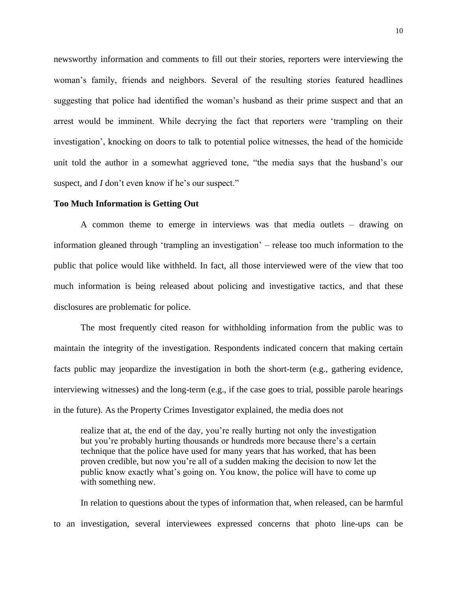newsworthy information and comments to fill out their stories, reporters were interviewing the woman's family, friends and neighbors. Several of the resulting stories featured headlines suggesting that police had identified the woman's husband as their prime suspect and that an arrest would be imminent. While decrying the fact that reporters were 'trampling on their investigation', knocking on doors to talk to potential police witnesses, the head of the homicide unit told the author in a somewhat aggrieved tone, "the media says that the husband's our suspect, and *I* don't even know if he's our suspect."

#### **Too Much Information is Getting Out**

A common theme to emerge in interviews was that media outlets – drawing on information gleaned through 'trampling an investigation' – release too much information to the public that police would like withheld. In fact, all those interviewed were of the view that too much information is being released about policing and investigative tactics, and that these disclosures are problematic for police.

The most frequently cited reason for withholding information from the public was to maintain the integrity of the investigation. Respondents indicated concern that making certain facts public may jeopardize the investigation in both the short-term (e.g., gathering evidence, interviewing witnesses) and the long-term (e.g., if the case goes to trial, possible parole hearings in the future). As the Property Crimes Investigator explained, the media does not

realize that at, the end of the day, you're really hurting not only the investigation but you're probably hurting thousands or hundreds more because there's a certain technique that the police have used for many years that has worked, that has been proven credible, but now you're all of a sudden making the decision to now let the public know exactly what's going on. You know, the police will have to come up with something new.

In relation to questions about the types of information that, when released, can be harmful to an investigation, several interviewees expressed concerns that photo line-ups can be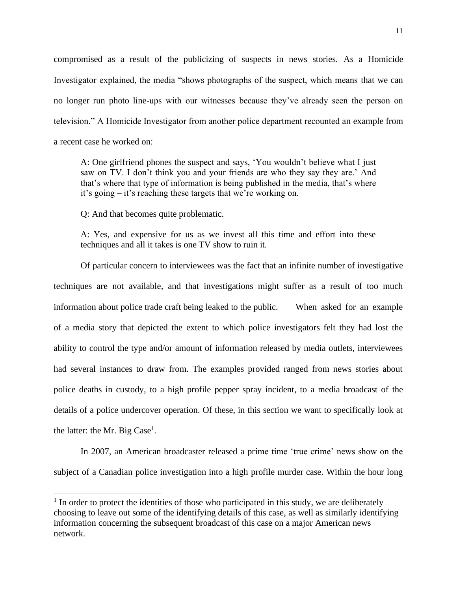compromised as a result of the publicizing of suspects in news stories. As a Homicide Investigator explained, the media "shows photographs of the suspect, which means that we can no longer run photo line-ups with our witnesses because they've already seen the person on television." A Homicide Investigator from another police department recounted an example from a recent case he worked on:

A: One girlfriend phones the suspect and says, 'You wouldn't believe what I just saw on TV. I don't think you and your friends are who they say they are.' And that's where that type of information is being published in the media, that's where it's going – it's reaching these targets that we're working on.

Q: And that becomes quite problematic.

A: Yes, and expensive for us as we invest all this time and effort into these techniques and all it takes is one TV show to ruin it.

Of particular concern to interviewees was the fact that an infinite number of investigative techniques are not available, and that investigations might suffer as a result of too much information about police trade craft being leaked to the public. When asked for an example of a media story that depicted the extent to which police investigators felt they had lost the ability to control the type and/or amount of information released by media outlets, interviewees had several instances to draw from. The examples provided ranged from news stories about police deaths in custody, to a high profile pepper spray incident, to a media broadcast of the details of a police undercover operation. Of these, in this section we want to specifically look at the latter: the Mr. Big Case<sup>1</sup>.

In 2007, an American broadcaster released a prime time 'true crime' news show on the subject of a Canadian police investigation into a high profile murder case. Within the hour long

<sup>&</sup>lt;sup>1</sup> In order to protect the identities of those who participated in this study, we are deliberately choosing to leave out some of the identifying details of this case, as well as similarly identifying information concerning the subsequent broadcast of this case on a major American news network.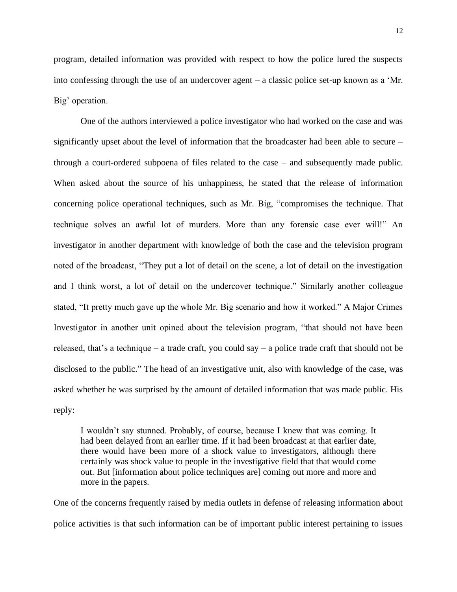program, detailed information was provided with respect to how the police lured the suspects into confessing through the use of an undercover agent – a classic police set-up known as a 'Mr. Big' operation.

One of the authors interviewed a police investigator who had worked on the case and was significantly upset about the level of information that the broadcaster had been able to secure – through a court-ordered subpoena of files related to the case – and subsequently made public. When asked about the source of his unhappiness, he stated that the release of information concerning police operational techniques, such as Mr. Big, "compromises the technique. That technique solves an awful lot of murders. More than any forensic case ever will!" An investigator in another department with knowledge of both the case and the television program noted of the broadcast, "They put a lot of detail on the scene, a lot of detail on the investigation and I think worst, a lot of detail on the undercover technique." Similarly another colleague stated, "It pretty much gave up the whole Mr. Big scenario and how it worked." A Major Crimes Investigator in another unit opined about the television program, "that should not have been released, that's a technique – a trade craft, you could say – a police trade craft that should not be disclosed to the public." The head of an investigative unit, also with knowledge of the case, was asked whether he was surprised by the amount of detailed information that was made public. His reply:

I wouldn't say stunned. Probably, of course, because I knew that was coming. It had been delayed from an earlier time. If it had been broadcast at that earlier date, there would have been more of a shock value to investigators, although there certainly was shock value to people in the investigative field that that would come out. But [information about police techniques are] coming out more and more and more in the papers.

One of the concerns frequently raised by media outlets in defense of releasing information about police activities is that such information can be of important public interest pertaining to issues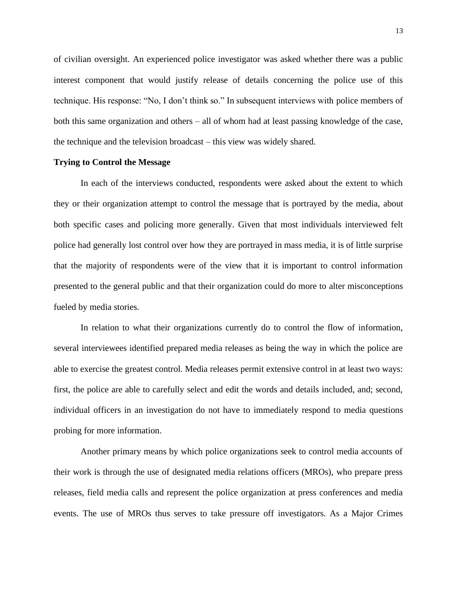of civilian oversight. An experienced police investigator was asked whether there was a public interest component that would justify release of details concerning the police use of this technique. His response: "No, I don't think so." In subsequent interviews with police members of both this same organization and others – all of whom had at least passing knowledge of the case, the technique and the television broadcast – this view was widely shared.

# **Trying to Control the Message**

In each of the interviews conducted, respondents were asked about the extent to which they or their organization attempt to control the message that is portrayed by the media, about both specific cases and policing more generally. Given that most individuals interviewed felt police had generally lost control over how they are portrayed in mass media, it is of little surprise that the majority of respondents were of the view that it is important to control information presented to the general public and that their organization could do more to alter misconceptions fueled by media stories.

In relation to what their organizations currently do to control the flow of information, several interviewees identified prepared media releases as being the way in which the police are able to exercise the greatest control. Media releases permit extensive control in at least two ways: first, the police are able to carefully select and edit the words and details included, and; second, individual officers in an investigation do not have to immediately respond to media questions probing for more information.

Another primary means by which police organizations seek to control media accounts of their work is through the use of designated media relations officers (MROs), who prepare press releases, field media calls and represent the police organization at press conferences and media events. The use of MROs thus serves to take pressure off investigators. As a Major Crimes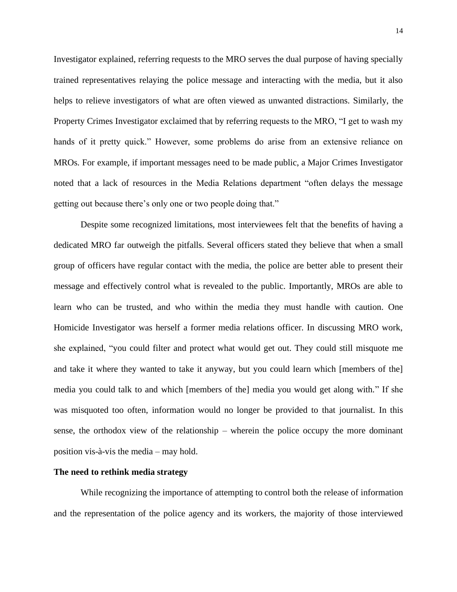Investigator explained, referring requests to the MRO serves the dual purpose of having specially trained representatives relaying the police message and interacting with the media, but it also helps to relieve investigators of what are often viewed as unwanted distractions. Similarly, the Property Crimes Investigator exclaimed that by referring requests to the MRO, "I get to wash my hands of it pretty quick." However, some problems do arise from an extensive reliance on MROs. For example, if important messages need to be made public, a Major Crimes Investigator noted that a lack of resources in the Media Relations department "often delays the message getting out because there's only one or two people doing that."

Despite some recognized limitations, most interviewees felt that the benefits of having a dedicated MRO far outweigh the pitfalls. Several officers stated they believe that when a small group of officers have regular contact with the media, the police are better able to present their message and effectively control what is revealed to the public. Importantly, MROs are able to learn who can be trusted, and who within the media they must handle with caution. One Homicide Investigator was herself a former media relations officer. In discussing MRO work, she explained, "you could filter and protect what would get out. They could still misquote me and take it where they wanted to take it anyway, but you could learn which [members of the] media you could talk to and which [members of the] media you would get along with." If she was misquoted too often, information would no longer be provided to that journalist. In this sense, the orthodox view of the relationship – wherein the police occupy the more dominant position vis-à-vis the media – may hold.

### **The need to rethink media strategy**

While recognizing the importance of attempting to control both the release of information and the representation of the police agency and its workers, the majority of those interviewed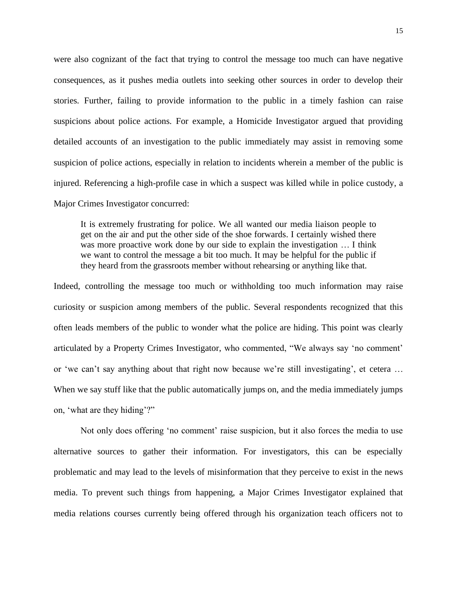were also cognizant of the fact that trying to control the message too much can have negative consequences, as it pushes media outlets into seeking other sources in order to develop their stories. Further, failing to provide information to the public in a timely fashion can raise suspicions about police actions. For example, a Homicide Investigator argued that providing detailed accounts of an investigation to the public immediately may assist in removing some suspicion of police actions, especially in relation to incidents wherein a member of the public is injured. Referencing a high-profile case in which a suspect was killed while in police custody, a Major Crimes Investigator concurred:

It is extremely frustrating for police. We all wanted our media liaison people to get on the air and put the other side of the shoe forwards. I certainly wished there was more proactive work done by our side to explain the investigation ... I think we want to control the message a bit too much. It may be helpful for the public if they heard from the grassroots member without rehearsing or anything like that.

Indeed, controlling the message too much or withholding too much information may raise curiosity or suspicion among members of the public. Several respondents recognized that this often leads members of the public to wonder what the police are hiding. This point was clearly articulated by a Property Crimes Investigator, who commented, "We always say 'no comment' or 'we can't say anything about that right now because we're still investigating', et cetera … When we say stuff like that the public automatically jumps on, and the media immediately jumps on, 'what are they hiding'?"

Not only does offering 'no comment' raise suspicion, but it also forces the media to use alternative sources to gather their information. For investigators, this can be especially problematic and may lead to the levels of misinformation that they perceive to exist in the news media. To prevent such things from happening, a Major Crimes Investigator explained that media relations courses currently being offered through his organization teach officers not to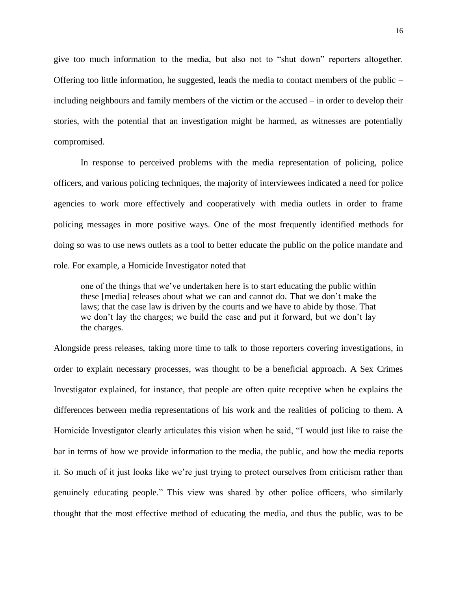give too much information to the media, but also not to "shut down" reporters altogether. Offering too little information, he suggested, leads the media to contact members of the public – including neighbours and family members of the victim or the accused – in order to develop their stories, with the potential that an investigation might be harmed, as witnesses are potentially compromised.

In response to perceived problems with the media representation of policing, police officers, and various policing techniques, the majority of interviewees indicated a need for police agencies to work more effectively and cooperatively with media outlets in order to frame policing messages in more positive ways. One of the most frequently identified methods for doing so was to use news outlets as a tool to better educate the public on the police mandate and role. For example, a Homicide Investigator noted that

one of the things that we've undertaken here is to start educating the public within these [media] releases about what we can and cannot do. That we don't make the laws; that the case law is driven by the courts and we have to abide by those. That we don't lay the charges; we build the case and put it forward, but we don't lay the charges.

Alongside press releases, taking more time to talk to those reporters covering investigations, in order to explain necessary processes, was thought to be a beneficial approach. A Sex Crimes Investigator explained, for instance, that people are often quite receptive when he explains the differences between media representations of his work and the realities of policing to them. A Homicide Investigator clearly articulates this vision when he said, "I would just like to raise the bar in terms of how we provide information to the media, the public, and how the media reports it. So much of it just looks like we're just trying to protect ourselves from criticism rather than genuinely educating people." This view was shared by other police officers, who similarly thought that the most effective method of educating the media, and thus the public, was to be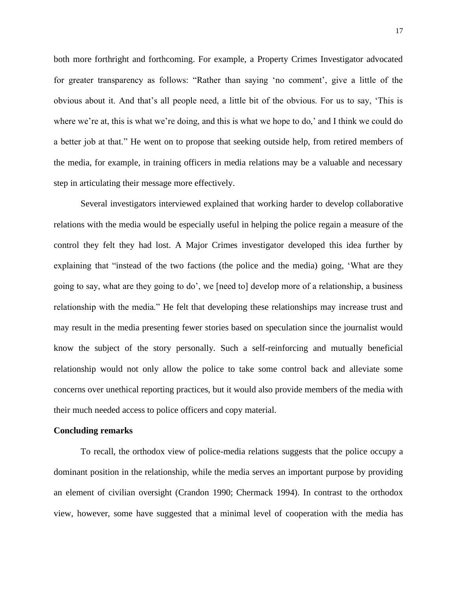both more forthright and forthcoming. For example, a Property Crimes Investigator advocated for greater transparency as follows: "Rather than saying 'no comment', give a little of the obvious about it. And that's all people need, a little bit of the obvious. For us to say, 'This is where we're at, this is what we're doing, and this is what we hope to do,' and I think we could do a better job at that." He went on to propose that seeking outside help, from retired members of the media, for example, in training officers in media relations may be a valuable and necessary step in articulating their message more effectively.

Several investigators interviewed explained that working harder to develop collaborative relations with the media would be especially useful in helping the police regain a measure of the control they felt they had lost. A Major Crimes investigator developed this idea further by explaining that "instead of the two factions (the police and the media) going, 'What are they going to say, what are they going to do', we [need to] develop more of a relationship, a business relationship with the media." He felt that developing these relationships may increase trust and may result in the media presenting fewer stories based on speculation since the journalist would know the subject of the story personally. Such a self-reinforcing and mutually beneficial relationship would not only allow the police to take some control back and alleviate some concerns over unethical reporting practices, but it would also provide members of the media with their much needed access to police officers and copy material.

#### **Concluding remarks**

To recall, the orthodox view of police-media relations suggests that the police occupy a dominant position in the relationship, while the media serves an important purpose by providing an element of civilian oversight (Crandon 1990; Chermack 1994). In contrast to the orthodox view, however, some have suggested that a minimal level of cooperation with the media has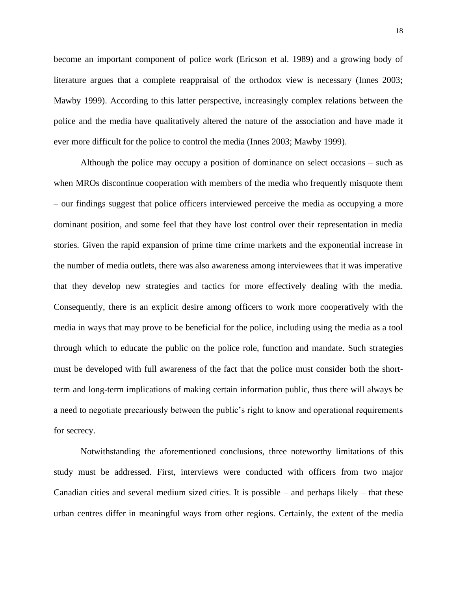become an important component of police work (Ericson et al. 1989) and a growing body of literature argues that a complete reappraisal of the orthodox view is necessary (Innes 2003; Mawby 1999). According to this latter perspective, increasingly complex relations between the police and the media have qualitatively altered the nature of the association and have made it ever more difficult for the police to control the media (Innes 2003; Mawby 1999).

Although the police may occupy a position of dominance on select occasions – such as when MROs discontinue cooperation with members of the media who frequently misquote them – our findings suggest that police officers interviewed perceive the media as occupying a more dominant position, and some feel that they have lost control over their representation in media stories. Given the rapid expansion of prime time crime markets and the exponential increase in the number of media outlets, there was also awareness among interviewees that it was imperative that they develop new strategies and tactics for more effectively dealing with the media. Consequently, there is an explicit desire among officers to work more cooperatively with the media in ways that may prove to be beneficial for the police, including using the media as a tool through which to educate the public on the police role, function and mandate. Such strategies must be developed with full awareness of the fact that the police must consider both the shortterm and long-term implications of making certain information public, thus there will always be a need to negotiate precariously between the public's right to know and operational requirements for secrecy.

Notwithstanding the aforementioned conclusions, three noteworthy limitations of this study must be addressed. First, interviews were conducted with officers from two major Canadian cities and several medium sized cities. It is possible – and perhaps likely – that these urban centres differ in meaningful ways from other regions. Certainly, the extent of the media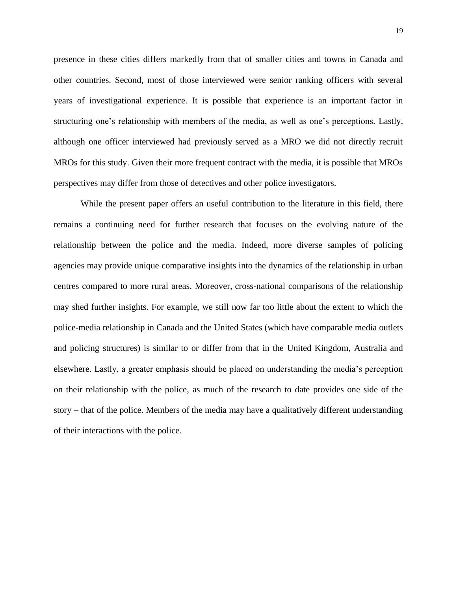presence in these cities differs markedly from that of smaller cities and towns in Canada and other countries. Second, most of those interviewed were senior ranking officers with several years of investigational experience. It is possible that experience is an important factor in structuring one's relationship with members of the media, as well as one's perceptions. Lastly, although one officer interviewed had previously served as a MRO we did not directly recruit MROs for this study. Given their more frequent contract with the media, it is possible that MROs perspectives may differ from those of detectives and other police investigators.

While the present paper offers an useful contribution to the literature in this field, there remains a continuing need for further research that focuses on the evolving nature of the relationship between the police and the media. Indeed, more diverse samples of policing agencies may provide unique comparative insights into the dynamics of the relationship in urban centres compared to more rural areas. Moreover, cross-national comparisons of the relationship may shed further insights. For example, we still now far too little about the extent to which the police-media relationship in Canada and the United States (which have comparable media outlets and policing structures) is similar to or differ from that in the United Kingdom, Australia and elsewhere. Lastly, a greater emphasis should be placed on understanding the media's perception on their relationship with the police, as much of the research to date provides one side of the story – that of the police. Members of the media may have a qualitatively different understanding of their interactions with the police.